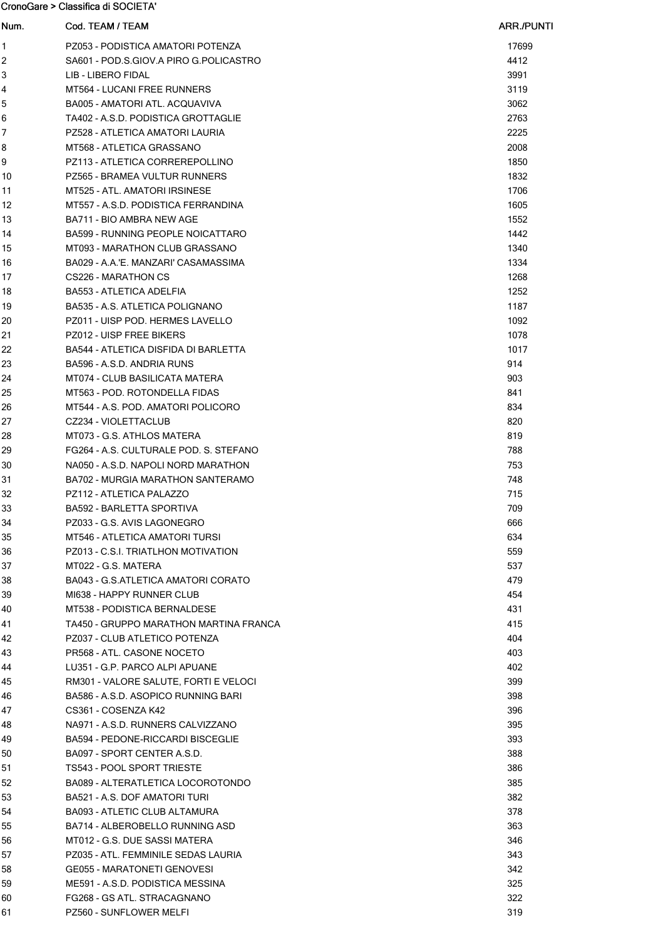CronoGare > Classifica di SOCIETA'

| Num.           | Cod. TEAM / TEAM                                                       | ARR./PUNTI |
|----------------|------------------------------------------------------------------------|------------|
| 1              | PZ053 - PODISTICA AMATORI POTENZA                                      | 17699      |
| 2              | SA601 - POD S.GIOV A PIRO G.POLICASTRO                                 | 4412       |
| 3              | LIB - LIBERO FIDAL                                                     | 3991       |
| 4              | <b>MT564 - LUCANI FREE RUNNERS</b>                                     | 3119       |
| 5              | BA005 - AMATORI ATL. ACQUAVIVA                                         | 3062       |
| 6              | TA402 - A.S.D. PODISTICA GROTTAGLIE                                    | 2763       |
| $\overline{7}$ | PZ528 - ATLETICA AMATORI LAURIA                                        | 2225       |
| 8              | MT568 - ATLETICA GRASSANO                                              | 2008       |
| 9              | PZ113 - ATLETICA CORREREPOLLINO                                        | 1850       |
| 10             | PZ565 - BRAMEA VULTUR RUNNERS                                          | 1832       |
| 11             | MT525 - ATL. AMATORI IRSINESE                                          | 1706       |
| 12             | MT557 - A.S.D. PODISTICA FERRANDINA                                    | 1605       |
| 13             | BA711 - BIO AMBRA NEW AGE                                              | 1552       |
| 14             | BA599 - RUNNING PEOPLE NOICATTARO                                      | 1442       |
| 15             | MT093 - MARATHON CLUB GRASSANO                                         | 1340       |
| 16             | BA029 - A.A.'E. MANZARI' CASAMASSIMA                                   | 1334       |
| 17             | CS226 - MARATHON CS                                                    | 1268       |
| 18             | <b>BA553 - ATLETICA ADELFIA</b>                                        | 1252       |
| 19             | BA535 - A.S. ATLETICA POLIGNANO                                        | 1187       |
| 20             | PZ011 - UISP POD. HERMES LAVELLO                                       | 1092       |
| 21             | PZ012 - UISP FREE BIKERS                                               | 1078       |
| 22             | BA544 - ATLETICA DISFIDA DI BARLETTA                                   | 1017       |
| 23             | BA596 - A.S.D. ANDRIA RUNS                                             | 914        |
| 24             | MT074 - CLUB BASILICATA MATERA                                         | 903        |
| 25             | MT563 - POD. ROTONDELLA FIDAS                                          | 841        |
| 26             | MT544 - A.S. POD. AMATORI POLICORO                                     | 834        |
| 27             | CZ234 - VIOLETTACLUB                                                   | 820        |
| 28             | MT073 - G.S. ATHLOS MATERA                                             | 819        |
| 29             | FG264 - A.S. CULTURALE POD. S. STEFANO                                 | 788        |
| 30             | NA050 - A.S.D. NAPOLI NORD MARATHON                                    | 753        |
| 31             | BA702 - MURGIA MARATHON SANTERAMO                                      | 748        |
| 32             | PZ112 - ATLETICA PALAZZO                                               | 715        |
| 33             | <b>BA592 - BARLETTA SPORTIVA</b>                                       | 709        |
| 34             | PZ033 - G.S. AVIS LAGONEGRO                                            | 666        |
| 35             | MT546 - ATLETICA AMATORI TURSI                                         | 634        |
| 36             | PZ013 - C.S.I. TRIATLHON MOTIVATION                                    | 559        |
| 37             | MT022 - G.S. MATERA                                                    | 537        |
| 38             | BA043 - G.S.ATLETICA AMATORI CORATO                                    | 479        |
| 39             | MI638 - HAPPY RUNNER CLUB                                              | 454        |
| 40             | MT538 - PODISTICA BERNALDESE                                           | 431        |
| 41             | TA450 - GRUPPO MARATHON MARTINA FRANCA                                 | 415        |
| 42             | PZ037 - CLUB ATLETICO POTENZA                                          | 404        |
| 43             | PR568 - ATL. CASONE NOCETO                                             | 403        |
| 44             | LU351 - G.P. PARCO ALPI APUANE                                         | 402        |
| 45             | RM301 - VALORE SALUTE, FORTI E VELOCI                                  | 399        |
| 46             | BA586 - A.S.D. ASOPICO RUNNING BARI                                    | 398        |
| 47             | CS361 - COSENZA K42                                                    | 396        |
| 48             | NA971 - A.S.D. RUNNERS CALVIZZANO<br>BA594 - PEDONE-RICCARDI BISCEGLIE | 395        |
| 49<br>50       | BA097 - SPORT CENTER A.S.D.                                            | 393        |
| 51             | TS543 - POOL SPORT TRIESTE                                             | 388<br>386 |
|                | BA089 - ALTERATLETICA LOCOROTONDO                                      | 385        |
| 52<br>53       | BA521 - A.S. DOF AMATORI TURI                                          | 382        |
| 54             | <b>BA093 - ATLETIC CLUB ALTAMURA</b>                                   | 378        |
| 55             | BA714 - ALBEROBELLO RUNNING ASD                                        | 363        |
| 56             | MT012 - G.S. DUE SASSI MATERA                                          | 346        |
| 57             | PZ035 - ATL. FEMMINILE SEDAS LAURIA                                    | 343        |
| 58             | <b>GE055 - MARATONETI GENOVESI</b>                                     | 342        |
| 59             | ME591 - A.S.D. PODISTICA MESSINA                                       | 325        |
| 60             | FG268 - GS ATL. STRACAGNANO                                            | 322        |
| 61             | PZ560 - SUNFLOWER MELFI                                                | 319        |